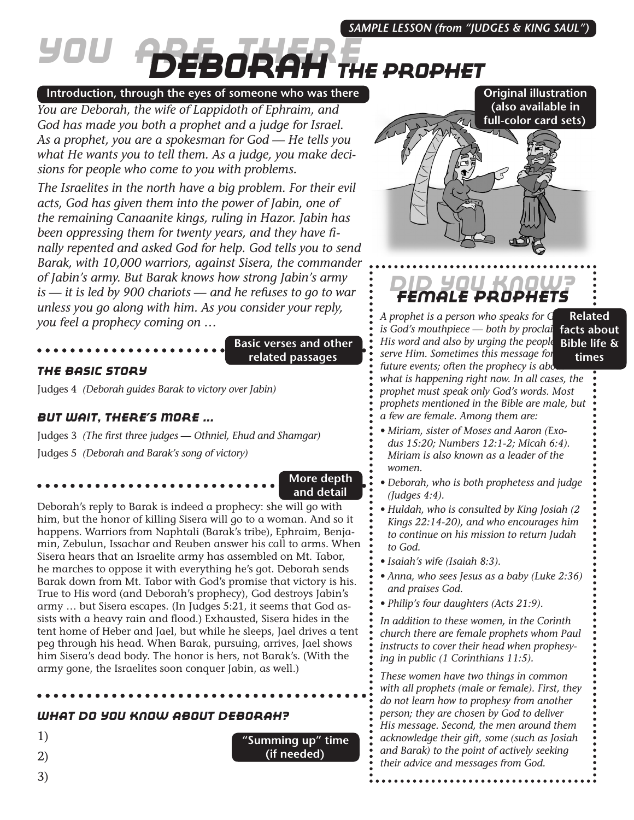# *You Are There Deborah The Prophet*

## **Introduction, through the eyes of someone who was there**

*You are Deborah, the wife of Lappidoth of Ephraim, and God has made you both a prophet and a judge for Israel. As a prophet, you are a spokesman for God — He tells you what He wants you to tell them. As a judge, you make decisions for people who come to you with problems.*

*The Israelites in the north have a big problem. For their evil acts, God has given them into the power of Jabin, one of the remaining Canaanite kings, ruling in Hazor. Jabin has been oppressing them for twenty years, and they have finally repented and asked God for help. God tells you to send Barak, with 10,000 warriors, against Sisera, the commander of Jabin's army. But Barak knows how strong Jabin's army is — it is led by 900 chariots — and he refuses to go to war unless you go along with him. As you consider your reply, you feel a prophecy coming on …*

### **Basic verses and other related passages**

## *The Basic Story*

Judges 4 *(Deborah guides Barak to victory over Jabin)*

## *But Wait, There's More ...*

Judges 3 *(The first three judges — Othniel, Ehud and Shamgar)* Judges 5 *(Deborah and Barak's song of victory)*

**More depth and detail**

**"Summing up" time (if needed)**

Deborah's reply to Barak is indeed a prophecy: she will go with him, but the honor of killing Sisera will go to a woman. And so it happens. Warriors from Naphtali (Barak's tribe), Ephraim, Benjamin, Zebulun, Issachar and Reuben answer his call to arms. When Sisera hears that an Israelite army has assembled on Mt. Tabor, he marches to oppose it with everything he's got. Deborah sends Barak down from Mt. Tabor with God's promise that victory is his. True to His word (and Deborah's prophecy), God destroys Jabin's army … but Sisera escapes. (In Judges 5:21, it seems that God assists with a heavy rain and flood.) Exhausted, Sisera hides in the tent home of Heber and Jael, but while he sleeps, Jael drives a tent peg through his head. When Barak, pursuing, arrives, Jael shows him Sisera's dead body. The honor is hers, not Barak's. (With the army gone, the Israelites soon conquer Jabin, as well.)

## *What Do You Know About Deborah?*

1)

- 2)
- 3)



**Original illustration** 

## *Did You Know? Female Prophets*

A prophet is a person who speaks for G *is God's mouthpiece — both by proclai His word and also by urging the people serve Him. Sometimes this message for future events; often the prophecy is abd what is happening right now. In all cases, the prophet must speak only God's words. Most prophets mentioned in the Bible are male, but a few are female. Among them are:* **Related facts about Bible life & times**

- *• Miriam, sister of Moses and Aaron (Exodus 15:20; Numbers 12:1-2; Micah 6:4). Miriam is also known as a leader of the women.*
- *• Deborah, who is both prophetess and judge (Judges 4:4).*
- *• Huldah, who is consulted by King Josiah (2 Kings 22:14-20), and who encourages him to continue on his mission to return Judah to God.*
- *• Isaiah's wife (Isaiah 8:3).*
- *• Anna, who sees Jesus as a baby (Luke 2:36) and praises God.*
- *• Philip's four daughters (Acts 21:9).*

*In addition to these women, in the Corinth church there are female prophets whom Paul instructs to cover their head when prophesying in public (1 Corinthians 11:5).*

*These women have two things in common with all prophets (male or female). First, they do not learn how to prophesy from another person; they are chosen by God to deliver His message. Second, the men around them acknowledge their gift, some (such as Josiah and Barak) to the point of actively seeking their advice and messages from God.*